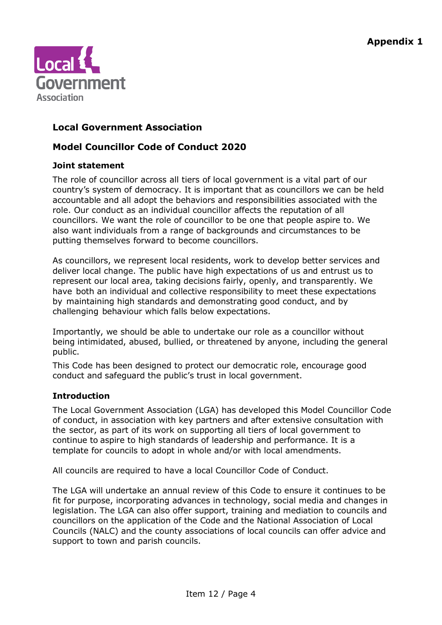

# **Local Government Association**

# **Model Councillor Code of Conduct 2020**

# **Joint statement**

The role of councillor across all tiers of local government is a vital part of our country's system of democracy. It is important that as councillors we can be held accountable and all adopt the behaviors and responsibilities associated with the role. Our conduct as an individual councillor affects the reputation of all councillors. We want the role of councillor to be one that people aspire to. We also want individuals from a range of backgrounds and circumstances to be putting themselves forward to become councillors.

As councillors, we represent local residents, work to develop better services and deliver local change. The public have high expectations of us and entrust us to represent our local area, taking decisions fairly, openly, and transparently. We have both an individual and collective responsibility to meet these expectations by maintaining high standards and demonstrating good conduct, and by challenging behaviour which falls below expectations.

Importantly, we should be able to undertake our role as a councillor without being intimidated, abused, bullied, or threatened by anyone, including the general public.

This Code has been designed to protect our democratic role, encourage good conduct and safeguard the public's trust in local government.

# **Introduction**

The Local Government Association (LGA) has developed this Model Councillor Code of conduct, in association with key partners and after extensive consultation with the sector, as part of its work on supporting all tiers of local government to continue to aspire to high standards of leadership and performance. It is a template for councils to adopt in whole and/or with local amendments.

All councils are required to have a local Councillor Code of Conduct.

The LGA will undertake an annual review of this Code to ensure it continues to be fit for purpose, incorporating advances in technology, social media and changes in legislation. The LGA can also offer support, training and mediation to councils and councillors on the application of the Code and the National Association of Local Councils (NALC) and the county associations of local councils can offer advice and support to town and parish councils.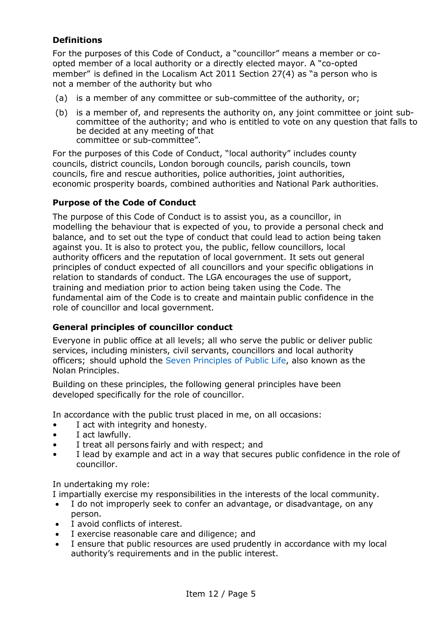# **Definitions**

For the purposes of this Code of Conduct, a "councillor" means a member or coopted member of a local authority or a directly elected mayor. A "co-opted member" is defined in the Localism Act 2011 Section 27(4) as "a person who is not a member of the authority but who

- (a) is a member of any committee or sub-committee of the authority, or;
- (b) is a member of, and represents the authority on, any joint committee or joint subcommittee of the authority; and who is entitled to vote on any question that falls to be decided at any meeting of that committee or sub-committee".

For the purposes of this Code of Conduct, "local authority" includes county councils, district councils, London borough councils, parish councils, town councils, fire and rescue authorities, police authorities, joint authorities, economic prosperity boards, combined authorities and National Park authorities.

# **Purpose of the Code of Conduct**

The purpose of this Code of Conduct is to assist you, as a councillor, in modelling the behaviour that is expected of you, to provide a personal check and balance, and to set out the type of conduct that could lead to action being taken against you. It is also to protect you, the public, fellow councillors, local authority officers and the reputation of local government. It sets out general principles of conduct expected of all councillors and your specific obligations in relation to standards of conduct. The LGA encourages the use of support, training and mediation prior to action being taken using the Code. The fundamental aim of the Code is to create and maintain public confidence in the role of councillor and local government.

## **General principles of councillor conduct**

Everyone in public office at all levels; all who serve the public or deliver public services, including ministers, civil servants, councillors and local authority officers; should uphold the Seven [Principles of Public Life,](https://www.gov.uk/government/publications/the-7-principles-of-public-life/the-7-principles-of-public-life--2) also known as the Nolan Principles.

Building on these principles, the following general principles have been developed specifically for the role of councillor.

In accordance with the public trust placed in me, on all occasions:

- I act with integrity and honesty.
- I act lawfully.
- I treat all persons fairly and with respect; and
- I lead by example and act in a way that secures public confidence in the role of councillor.

In undertaking my role:

I impartially exercise my responsibilities in the interests of the local community.

- I do not improperly seek to confer an advantage, or disadvantage, on any person.
- I avoid conflicts of interest.
- I exercise reasonable care and diligence; and
- I ensure that public resources are used prudently in accordance with my local authority's requirements and in the public interest.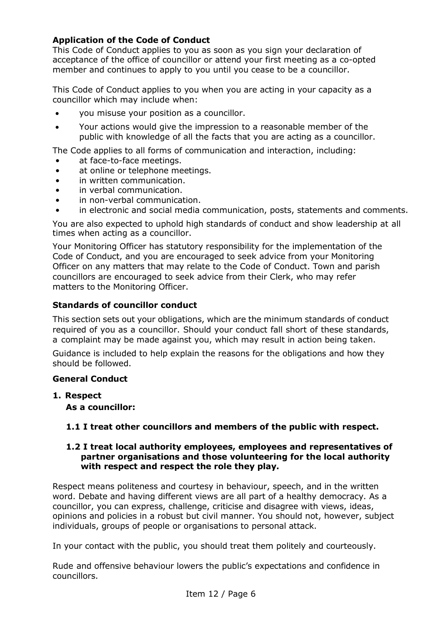# **Application of the Code of Conduct**

This Code of Conduct applies to you as soon as you sign your declaration of acceptance of the office of councillor or attend your first meeting as a co-opted member and continues to apply to you until you cease to be a councillor.

This Code of Conduct applies to you when you are acting in your capacity as a councillor which may include when:

- you misuse your position as a councillor.
- Your actions would give the impression to a reasonable member of the public with knowledge of all the facts that you are acting as a councillor.

The Code applies to all forms of communication and interaction, including:

- at face-to-face meetings.
- at online or telephone meetings.
- in written communication.
- in verbal communication.
- in non-verbal communication.
- in electronic and social media communication, posts, statements and comments.

You are also expected to uphold high standards of conduct and show leadership at all times when acting as a councillor.

Your Monitoring Officer has statutory responsibility for the implementation of the Code of Conduct, and you are encouraged to seek advice from your Monitoring Officer on any matters that may relate to the Code of Conduct. Town and parish councillors are encouraged to seek advice from their Clerk, who may refer matters to the Monitoring Officer.

# **Standards of councillor conduct**

This section sets out your obligations, which are the minimum standards of conduct required of you as a councillor. Should your conduct fall short of these standards, a complaint may be made against you, which may result in action being taken.

Guidance is included to help explain the reasons for the obligations and how they should be followed.

## **General Conduct**

**1. Respect**

**As a councillor:**

## **1.1 I treat other councillors and members of the public with respect.**

#### **1.2 I treat local authority employees, employees and representatives of partner organisations and those volunteering for the local authority with respect and respect the role they play.**

Respect means politeness and courtesy in behaviour, speech, and in the written word. Debate and having different views are all part of a healthy democracy. As a councillor, you can express, challenge, criticise and disagree with views, ideas, opinions and policies in a robust but civil manner. You should not, however, subject individuals, groups of people or organisations to personal attack.

In your contact with the public, you should treat them politely and courteously.

Rude and offensive behaviour lowers the public's expectations and confidence in councillors.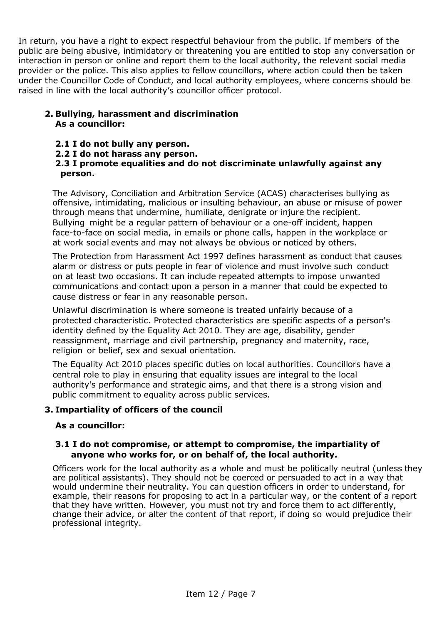In return, you have a right to expect respectful behaviour from the public. If members of the public are being abusive, intimidatory or threatening you are entitled to stop any conversation or interaction in person or online and report them to the local authority, the relevant social media provider or the police. This also applies to fellow councillors, where action could then be taken under the Councillor Code of Conduct, and local authority employees, where concerns should be raised in line with the local authority's councillor officer protocol.

# **2. Bullying, harassment and discrimination As a councillor:**

- **2.1 I do not bully any person.**
- **2.2 I do not harass any person.**

## **2.3 I promote equalities and do not discriminate unlawfully against any person.**

The Advisory, Conciliation and Arbitration Service (ACAS) characterises bullying as offensive, intimidating, malicious or insulting behaviour, an abuse or misuse of power through means that undermine, humiliate, denigrate or injure the recipient. Bullying might be a regular pattern of behaviour or a one-off incident, happen face-to-face on social media, in emails or phone calls, happen in the workplace or at work social events and may not always be obvious or noticed by others.

The Protection from Harassment Act 1997 defines harassment as conduct that causes alarm or distress or puts people in fear of violence and must involve such conduct on at least two occasions. It can include repeated attempts to impose unwanted communications and contact upon a person in a manner that could be expected to cause distress or fear in any reasonable person.

Unlawful discrimination is where someone is treated unfairly because of a protected characteristic. Protected characteristics are specific aspects of a person's identity defined by the Equality Act 2010. They are age, disability, gender reassignment, marriage and civil partnership, pregnancy and maternity, race, religion or belief, sex and sexual orientation.

The Equality Act 2010 places specific duties on local authorities. Councillors have a central role to play in ensuring that equality issues are integral to the local authority's performance and strategic aims, and that there is a strong vision and public commitment to equality across public services.

# **3. Impartiality of officers of the council**

## **As a councillor:**

#### **3.1 I do not compromise, or attempt to compromise, the impartiality of anyone who works for, or on behalf of, the local authority.**

Officers work for the local authority as a whole and must be politically neutral (unless they are political assistants). They should not be coerced or persuaded to act in a way that would undermine their neutrality. You can question officers in order to understand, for example, their reasons for proposing to act in a particular way, or the content of a report that they have written. However, you must not try and force them to act differently, change their advice, or alter the content of that report, if doing so would prejudice their professional integrity.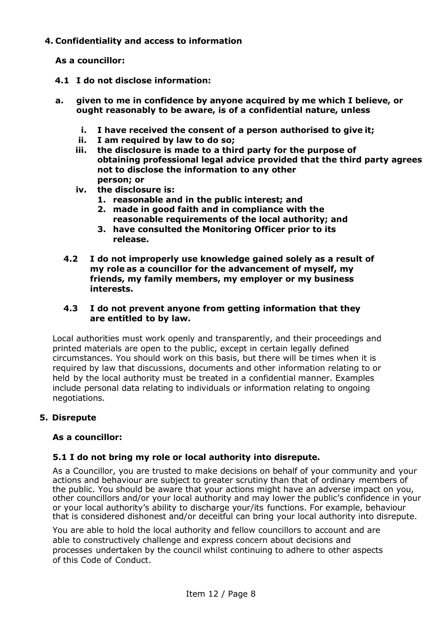# **4. Confidentiality and access to information**

**As a councillor:**

- **4.1 I do not disclose information:**
- **a. given to me in confidence by anyone acquired by me which I believe, or ought reasonably to be aware, is of a confidential nature, unless**
	- **i. I have received the consent of a person authorised to give it;**
	- **ii. I am required by law to do so;**
	- **iii. the disclosure is made to a third party for the purpose of obtaining professional legal advice provided that the third party agrees not to disclose the information to any other person; or**
	- **iv. the disclosure is:**
		- **1. reasonable and in the public interest; and**
		- **2. made in good faith and in compliance with the reasonable requirements of the local authority; and**
		- **3. have consulted the Monitoring Officer prior to its release.**
	- **4.2 I do not improperly use knowledge gained solely as a result of my role as a councillor for the advancement of myself, my friends, my family members, my employer or my business interests.**

## **4.3 I do not prevent anyone from getting information that they are entitled to by law.**

Local authorities must work openly and transparently, and their proceedings and printed materials are open to the public, except in certain legally defined circumstances. You should work on this basis, but there will be times when it is required by law that discussions, documents and other information relating to or held by the local authority must be treated in a confidential manner. Examples include personal data relating to individuals or information relating to ongoing negotiations.

# **5. Disrepute**

# **As a councillor:**

# **5.1 I do not bring my role or local authority into disrepute.**

As a Councillor, you are trusted to make decisions on behalf of your community and your actions and behaviour are subject to greater scrutiny than that of ordinary members of the public. You should be aware that your actions might have an adverse impact on you, other councillors and/or your local authority and may lower the public's confidence in your or your local authority's ability to discharge your/its functions. For example, behaviour that is considered dishonest and/or deceitful can bring your local authority into disrepute.

You are able to hold the local authority and fellow councillors to account and are able to constructively challenge and express concern about decisions and processes undertaken by the council whilst continuing to adhere to other aspects of this Code of Conduct.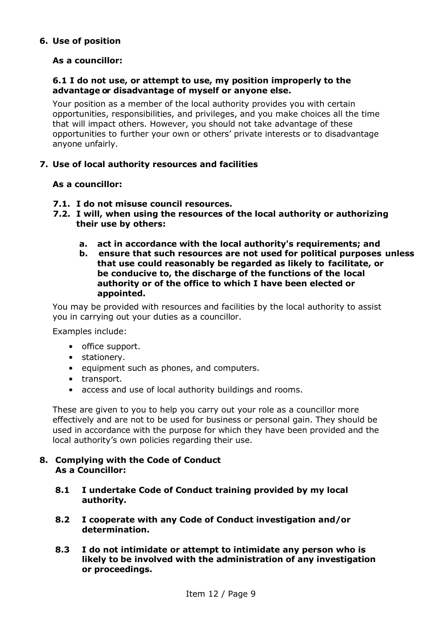## **6. Use of position**

# **As a councillor:**

#### **6.1 I do not use, or attempt to use, my position improperly to the advantage or disadvantage of myself or anyone else.**

Your position as a member of the local authority provides you with certain opportunities, responsibilities, and privileges, and you make choices all the time that will impact others. However, you should not take advantage of these opportunities to further your own or others' private interests or to disadvantage anyone unfairly.

## **7. Use of local authority resources and facilities**

#### **As a councillor:**

- **7.1. I do not misuse council resources.**
- **7.2. I will, when using the resources of the local authority or authorizing their use by others:**
	- **a. act in accordance with the local authority's requirements; and**
	- **b. ensure that such resources are not used for political purposes unless that use could reasonably be regarded as likely to facilitate, or be conducive to, the discharge of the functions of the local authority or of the office to which I have been elected or appointed.**

You may be provided with resources and facilities by the local authority to assist you in carrying out your duties as a councillor.

Examples include:

- office support.
- stationery.
- equipment such as phones, and computers.
- transport.
- access and use of local authority buildings and rooms.

These are given to you to help you carry out your role as a councillor more effectively and are not to be used for business or personal gain. They should be used in accordance with the purpose for which they have been provided and the local authority's own policies regarding their use.

#### **8. Complying with the Code of Conduct As a Councillor:**

- **8.1 I undertake Code of Conduct training provided by my local authority.**
- **8.2 I cooperate with any Code of Conduct investigation and/or determination.**
- **8.3 I do not intimidate or attempt to intimidate any person who is likely to be involved with the administration of any investigation or proceedings.**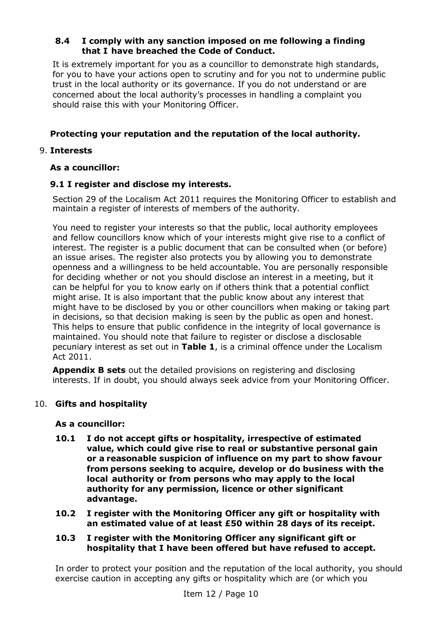## **8.4 I comply with any sanction imposed on me following a finding that I have breached the Code of Conduct.**

It is extremely important for you as a councillor to demonstrate high standards, for you to have your actions open to scrutiny and for you not to undermine public trust in the local authority or its governance. If you do not understand or are concerned about the local authority's processes in handling a complaint you should raise this with your Monitoring Officer.

# **Protecting your reputation and the reputation of the local authority.**

# 9. **Interests**

# **As a councillor:**

## **9.1 I register and disclose my interests.**

Section 29 of the Localism Act 2011 requires the Monitoring Officer to establish and maintain a register of interests of members of the authority.

You need to register your interests so that the public, local authority employees and fellow councillors know which of your interests might give rise to a conflict of interest. The register is a public document that can be consulted when (or before) an issue arises. The register also protects you by allowing you to demonstrate openness and a willingness to be held accountable. You are personally responsible for deciding whether or not you should disclose an interest in a meeting, but it can be helpful for you to know early on if others think that a potential conflict might arise. It is also important that the public know about any interest that might have to be disclosed by you or other councillors when making or taking part in decisions, so that decision making is seen by the public as open and honest. This helps to ensure that public confidence in the integrity of local governance is maintained. You should note that failure to register or disclose a disclosable pecuniary interest as set out in **Table 1**, is a criminal offence under the Localism Act 2011.

**Appendix B sets** out the detailed provisions on registering and disclosing interests. If in doubt, you should always seek advice from your Monitoring Officer.

## 10. **Gifts and hospitality**

## **As a councillor:**

- **10.1 I do not accept gifts or hospitality, irrespective of estimated value, which could give rise to real or substantive personal gain or a reasonable suspicion of influence on my part to show favour from persons seeking to acquire, develop or do business with the local authority or from persons who may apply to the local authority for any permission, licence or other significant advantage.**
- **10.2 I register with the Monitoring Officer any gift or hospitality with an estimated value of at least £50 within 28 days of its receipt.**

#### **10.3 I register with the Monitoring Officer any significant gift or hospitality that I have been offered but have refused to accept.**

In order to protect your position and the reputation of the local authority, you should exercise caution in accepting any gifts or hospitality which are (or which you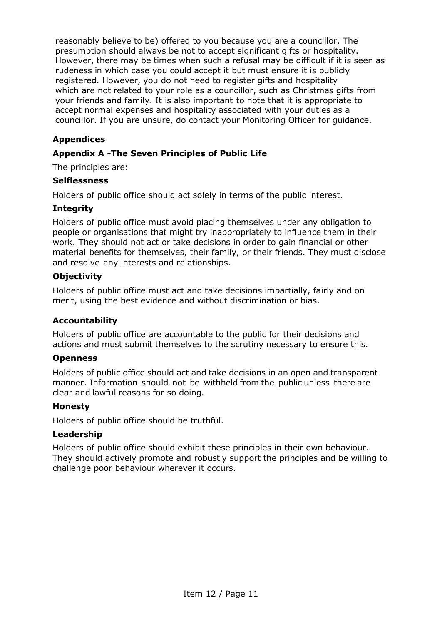reasonably believe to be) offered to you because you are a councillor. The presumption should always be not to accept significant gifts or hospitality. However, there may be times when such a refusal may be difficult if it is seen as rudeness in which case you could accept it but must ensure it is publicly registered. However, you do not need to register gifts and hospitality which are not related to your role as a councillor, such as Christmas gifts from your friends and family. It is also important to note that it is appropriate to accept normal expenses and hospitality associated with your duties as a councillor. If you are unsure, do contact your Monitoring Officer for guidance.

# **Appendices**

# **Appendix A -The Seven Principles of Public Life**

The principles are:

#### **Selflessness**

Holders of public office should act solely in terms of the public interest.

## **Integrity**

Holders of public office must avoid placing themselves under any obligation to people or organisations that might try inappropriately to influence them in their work. They should not act or take decisions in order to gain financial or other material benefits for themselves, their family, or their friends. They must disclose and resolve any interests and relationships.

## **Objectivity**

Holders of public office must act and take decisions impartially, fairly and on merit, using the best evidence and without discrimination or bias.

## **Accountability**

Holders of public office are accountable to the public for their decisions and actions and must submit themselves to the scrutiny necessary to ensure this.

#### **Openness**

Holders of public office should act and take decisions in an open and transparent manner. Information should not be withheld from the public unless there are clear and lawful reasons for so doing.

## **Honesty**

Holders of public office should be truthful.

#### **Leadership**

Holders of public office should exhibit these principles in their own behaviour. They should actively promote and robustly support the principles and be willing to challenge poor behaviour wherever it occurs.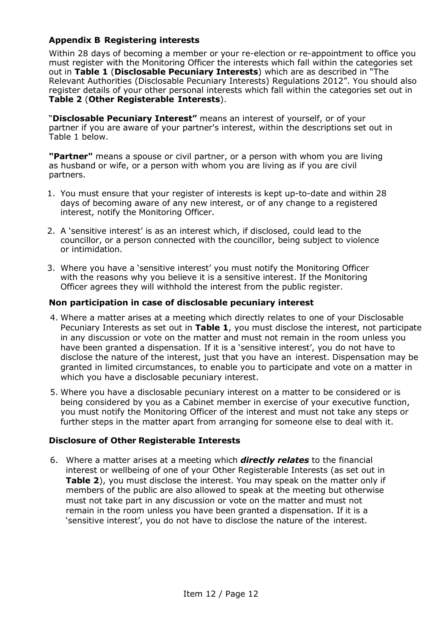# **Appendix B Registering interests**

Within 28 days of becoming a member or your re-election or re-appointment to office you must register with the Monitoring Officer the interests which fall within the categories set out in **Table 1** (**Disclosable Pecuniary Interests**) which are as described in "The Relevant Authorities (Disclosable Pecuniary Interests) Regulations 2012". You should also register details of your other personal interests which fall within the categories set out in **Table 2** (**Other Registerable Interests**).

"**Disclosable Pecuniary Interest"** means an interest of yourself, or of your partner if you are aware of your partner's interest, within the descriptions set out in Table 1 below.

**"Partner"** means a spouse or civil partner, or a person with whom you are living as husband or wife, or a person with whom you are living as if you are civil partners.

- 1. You must ensure that your register of interests is kept up-to-date and within 28 days of becoming aware of any new interest, or of any change to a registered interest, notify the Monitoring Officer.
- 2. A 'sensitive interest' is as an interest which, if disclosed, could lead to the councillor, or a person connected with the councillor, being subject to violence or intimidation.
- 3. Where you have a 'sensitive interest' you must notify the Monitoring Officer with the reasons why you believe it is a sensitive interest. If the Monitoring Officer agrees they will withhold the interest from the public register.

## **Non participation in case of disclosable pecuniary interest**

- 4. Where a matter arises at a meeting which directly relates to one of your Disclosable Pecuniary Interests as set out in **Table 1**, you must disclose the interest, not participate in any discussion or vote on the matter and must not remain in the room unless you have been granted a dispensation. If it is a 'sensitive interest', you do not have to disclose the nature of the interest, just that you have an interest. Dispensation may be granted in limited circumstances, to enable you to participate and vote on a matter in which you have a disclosable pecuniary interest.
- 5. Where you have a disclosable pecuniary interest on a matter to be considered or is being considered by you as a Cabinet member in exercise of your executive function, you must notify the Monitoring Officer of the interest and must not take any steps or further steps in the matter apart from arranging for someone else to deal with it.

## **Disclosure of Other Registerable Interests**

6. Where a matter arises at a meeting which *directly relates* to the financial interest or wellbeing of one of your Other Registerable Interests (as set out in **Table 2**), you must disclose the interest. You may speak on the matter only if members of the public are also allowed to speak at the meeting but otherwise must not take part in any discussion or vote on the matter and must not remain in the room unless you have been granted a dispensation. If it is a 'sensitive interest', you do not have to disclose the nature of the interest.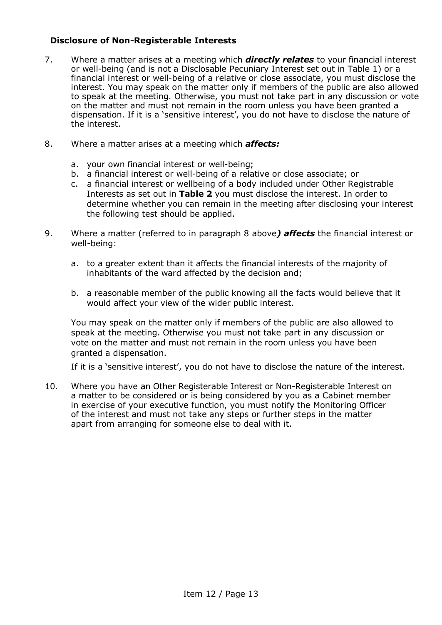## **Disclosure of Non-Registerable Interests**

- 7. Where a matter arises at a meeting which *directly relates* to your financial interest or well-being (and is not a Disclosable Pecuniary Interest set out in Table 1) or a financial interest or well-being of a relative or close associate, you must disclose the interest. You may speak on the matter only if members of the public are also allowed to speak at the meeting. Otherwise, you must not take part in any discussion or vote on the matter and must not remain in the room unless you have been granted a dispensation. If it is a 'sensitive interest', you do not have to disclose the nature of the interest.
- 8. Where a matter arises at a meeting which *affects:*
	- a. your own financial interest or well-being;
	- b. a financial interest or well-being of a relative or close associate; or
	- c. a financial interest or wellbeing of a body included under Other Registrable Interests as set out in **Table 2** you must disclose the interest. In order to determine whether you can remain in the meeting after disclosing your interest the following test should be applied.
- 9. Where a matter (referred to in paragraph 8 above*) affects* the financial interest or well-being:
	- a. to a greater extent than it affects the financial interests of the majority of inhabitants of the ward affected by the decision and;
	- b. a reasonable member of the public knowing all the facts would believe that it would affect your view of the wider public interest.

You may speak on the matter only if members of the public are also allowed to speak at the meeting. Otherwise you must not take part in any discussion or vote on the matter and must not remain in the room unless you have been granted a dispensation.

If it is a 'sensitive interest', you do not have to disclose the nature of the interest.

10. Where you have an Other Registerable Interest or Non-Registerable Interest on a matter to be considered or is being considered by you as a Cabinet member in exercise of your executive function, you must notify the Monitoring Officer of the interest and must not take any steps or further steps in the matter apart from arranging for someone else to deal with it.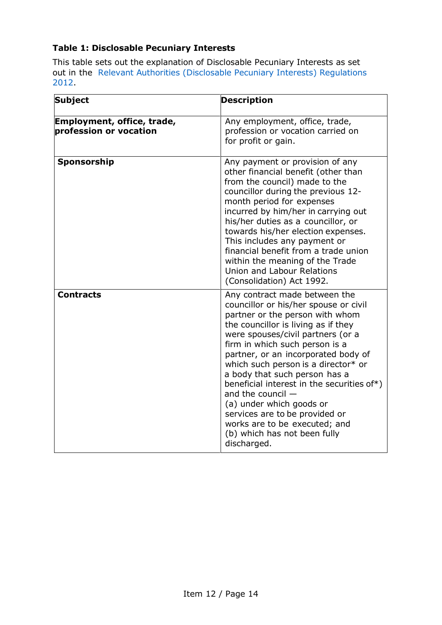# **Table 1: Disclosable Pecuniary Interests**

This table sets out the explanation of Disclosable Pecuniary Interests as set out in the Relevant Authorities [\(Disclosable Pecuniary Interests\) Regulations](https://www.legislation.gov.uk/uksi/2012/1464/made) [2012.](https://www.legislation.gov.uk/uksi/2012/1464/made) 

| <b>Subject</b>                                       | <b>Description</b>                                                                                                                                                                                                                                                                                                                                                                                                                                                                                                                                        |
|------------------------------------------------------|-----------------------------------------------------------------------------------------------------------------------------------------------------------------------------------------------------------------------------------------------------------------------------------------------------------------------------------------------------------------------------------------------------------------------------------------------------------------------------------------------------------------------------------------------------------|
| Employment, office, trade,<br>profession or vocation | Any employment, office, trade,<br>profession or vocation carried on<br>for profit or gain.                                                                                                                                                                                                                                                                                                                                                                                                                                                                |
| Sponsorship                                          | Any payment or provision of any<br>other financial benefit (other than<br>from the council) made to the<br>councillor during the previous 12-<br>month period for expenses<br>incurred by him/her in carrying out<br>his/her duties as a councillor, or<br>towards his/her election expenses.<br>This includes any payment or<br>financial benefit from a trade union<br>within the meaning of the Trade<br>Union and Labour Relations<br>(Consolidation) Act 1992.                                                                                       |
| <b>Contracts</b>                                     | Any contract made between the<br>councillor or his/her spouse or civil<br>partner or the person with whom<br>the councillor is living as if they<br>were spouses/civil partners (or a<br>firm in which such person is a<br>partner, or an incorporated body of<br>which such person is a director* or<br>a body that such person has a<br>beneficial interest in the securities of*)<br>and the council $-$<br>(a) under which goods or<br>services are to be provided or<br>works are to be executed; and<br>(b) which has not been fully<br>discharged. |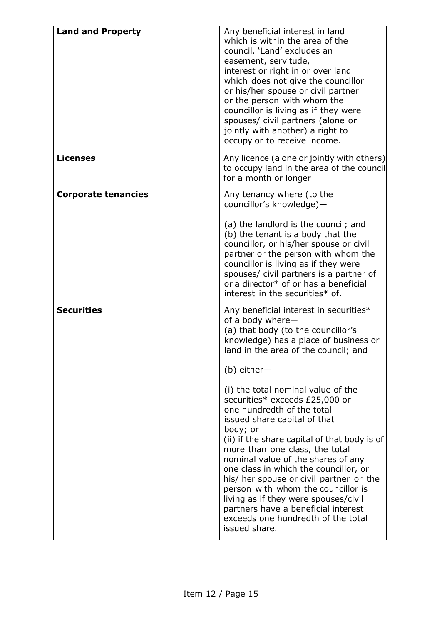| <b>Land and Property</b>   | Any beneficial interest in land<br>which is within the area of the<br>council. 'Land' excludes an<br>easement, servitude,<br>interest or right in or over land<br>which does not give the councillor<br>or his/her spouse or civil partner<br>or the person with whom the<br>councillor is living as if they were<br>spouses/ civil partners (alone or<br>jointly with another) a right to<br>occupy or to receive income.                                                                                                                                                                                                                                                                                                                   |
|----------------------------|----------------------------------------------------------------------------------------------------------------------------------------------------------------------------------------------------------------------------------------------------------------------------------------------------------------------------------------------------------------------------------------------------------------------------------------------------------------------------------------------------------------------------------------------------------------------------------------------------------------------------------------------------------------------------------------------------------------------------------------------|
| <b>Licenses</b>            | Any licence (alone or jointly with others)<br>to occupy land in the area of the council<br>for a month or longer                                                                                                                                                                                                                                                                                                                                                                                                                                                                                                                                                                                                                             |
| <b>Corporate tenancies</b> | Any tenancy where (to the<br>councillor's knowledge)-<br>(a) the landlord is the council; and<br>(b) the tenant is a body that the<br>councillor, or his/her spouse or civil<br>partner or the person with whom the<br>councillor is living as if they were<br>spouses/ civil partners is a partner of<br>or a director* of or has a beneficial<br>interest in the securities* of.                                                                                                                                                                                                                                                                                                                                                           |
| <b>Securities</b>          | Any beneficial interest in securities*<br>of a body where-<br>(a) that body (to the councillor's<br>knowledge) has a place of business or<br>land in the area of the council; and<br>$(b)$ either-<br>(i) the total nominal value of the<br>securities* exceeds £25,000 or<br>one hundredth of the total<br>issued share capital of that<br>body; or<br>(ii) if the share capital of that body is of<br>more than one class, the total<br>nominal value of the shares of any<br>one class in which the councillor, or<br>his/ her spouse or civil partner or the<br>person with whom the councillor is<br>living as if they were spouses/civil<br>partners have a beneficial interest<br>exceeds one hundredth of the total<br>issued share. |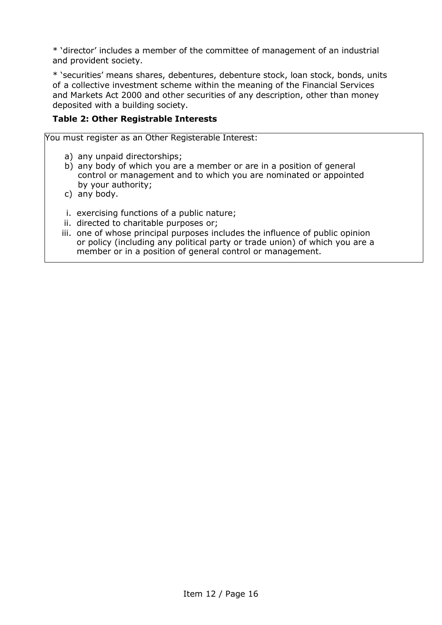\* 'director' includes a member of the committee of management of an industrial and provident society.

\* 'securities' means shares, debentures, debenture stock, loan stock, bonds, units of a collective investment scheme within the meaning of the Financial Services and Markets Act 2000 and other securities of any description, other than money deposited with a building society.

# **Table 2: Other Registrable Interests**

You must register as an Other Registerable Interest:

- a) any unpaid directorships;
- b) any body of which you are a member or are in a position of general control or management and to which you are nominated or appointed by your authority;
- c) any body.
- i. exercising functions of a public nature;
- ii. directed to charitable purposes or;
- iii. one of whose principal purposes includes the influence of public opinion or policy (including any political party or trade union) of which you are a member or in a position of general control or management.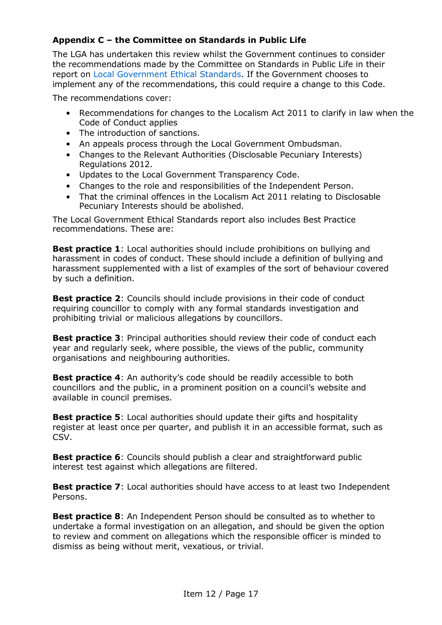# **Appendix C – the Committee on Standards in Public Life**

The LGA has undertaken this review whilst the Government continues to consider the recommendations made by the Committee on Standards in Public Life in their report on [Local Government Ethical Standards.](https://www.gov.uk/government/publications/local-government-ethical-standards-report) If the Government chooses to implement any of the recommendations, this could require a change to this Code.

The recommendations cover:

- Recommendations for changes to the Localism Act 2011 to clarify in law when the Code of Conduct applies
- The introduction of sanctions.
- An appeals process through the Local Government Ombudsman.
- Changes to the Relevant Authorities (Disclosable Pecuniary Interests) Regulations 2012.
- Updates to the Local Government Transparency Code.
- Changes to the role and responsibilities of the Independent Person.
- That the criminal offences in the Localism Act 2011 relating to Disclosable Pecuniary Interests should be abolished.

The Local Government Ethical Standards report also includes Best Practice recommendations. These are:

**Best practice 1**: Local authorities should include prohibitions on bullying and harassment in codes of conduct. These should include a definition of bullying and harassment supplemented with a list of examples of the sort of behaviour covered by such a definition.

**Best practice 2**: Councils should include provisions in their code of conduct requiring councillor to comply with any formal standards investigation and prohibiting trivial or malicious allegations by councillors.

**Best practice 3:** Principal authorities should review their code of conduct each year and regularly seek, where possible, the views of the public, community organisations and neighbouring authorities.

**Best practice 4:** An authority's code should be readily accessible to both councillors and the public, in a prominent position on a council's website and available in council premises.

**Best practice 5**: Local authorities should update their gifts and hospitality register at least once per quarter, and publish it in an accessible format, such as CSV.

**Best practice 6:** Councils should publish a clear and straightforward public interest test against which allegations are filtered.

**Best practice 7:** Local authorities should have access to at least two Independent Persons.

**Best practice 8**: An Independent Person should be consulted as to whether to undertake a formal investigation on an allegation, and should be given the option to review and comment on allegations which the responsible officer is minded to dismiss as being without merit, vexatious, or trivial.